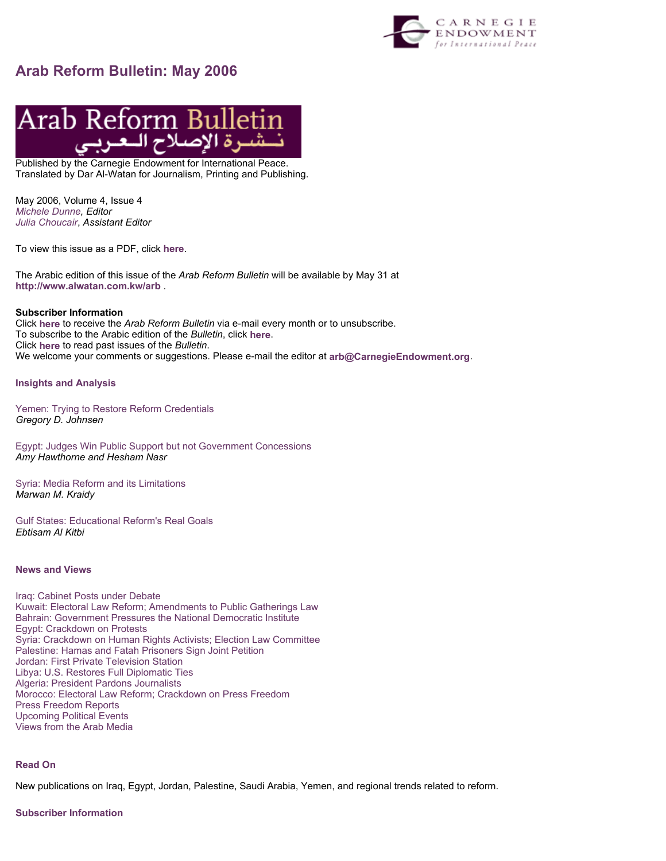

# **Arab Reform Bulletin: May 2006**



Published by the Carnegie Endowment for International Peace. Translated by Dar Al-Watan for Journalism, Printing and Publishing.

May 2006, Volume 4, Issue 4 *Michele Dunne, Editor Julia Choucair*, *Assistant Editor*

To view this issue as a PDF, click **here**.

The Arabic edition of this issue of the *Arab Reform Bulletin* will be available by May 31 at **http://www.alwatan.com.kw/arb** .

# **Subscriber Information**

Click **here** to receive the *Arab Reform Bulletin* via e-mail every month or to unsubscribe. To subscribe to the Arabic edition of the *Bulletin*, click **here**. Click **here** to read past issues of the *Bulletin*. We welcome your comments or suggestions. Please e-mail the editor at **arb@CarnegieEndowment.org**.

#### **Insights and Analysis**

Yemen: Trying to Restore Reform Credentials *Gregory D. Johnsen* 

Egypt: Judges Win Public Support but not Government Concessions *Amy Hawthorne and Hesham Nasr* 

Syria: Media Reform and its Limitations *Marwan M. Kraidy* 

Gulf States: Educational Reform's Real Goals *Ebtisam Al Kitbi* 

# **News and Views**

Iraq: Cabinet Posts under Debate Kuwait: Electoral Law Reform; Amendments to Public Gatherings Law Bahrain: Government Pressures the National Democratic Institute Egypt: Crackdown on Protests Syria: Crackdown on Human Rights Activists; Election Law Committee Palestine: Hamas and Fatah Prisoners Sign Joint Petition Jordan: First Private Television Station Libya: U.S. Restores Full Diplomatic Ties Algeria: President Pardons Journalists Morocco: Electoral Law Reform; Crackdown on Press Freedom Press Freedom Reports Upcoming Political Events Views from the Arab Media

# **Read On**

New publications on Iraq, Egypt, Jordan, Palestine, Saudi Arabia, Yemen, and regional trends related to reform.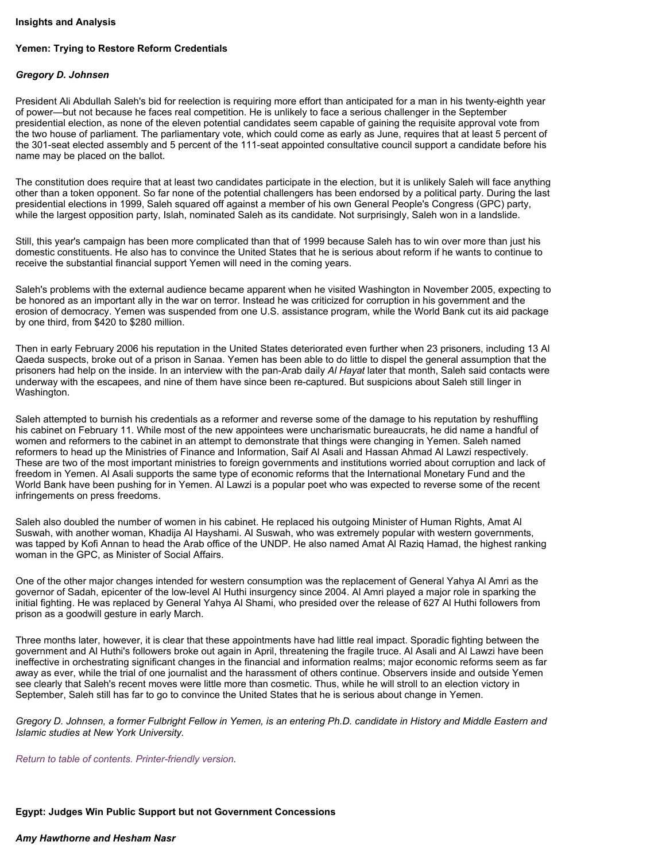#### **Insights and Analysis**

# **Yemen: Trying to Restore Reform Credentials**

#### *Gregory D. Johnsen*

President Ali Abdullah Saleh's bid for reelection is requiring more effort than anticipated for a man in his twenty-eighth year of power—but not because he faces real competition. He is unlikely to face a serious challenger in the September presidential election, as none of the eleven potential candidates seem capable of gaining the requisite approval vote from the two house of parliament. The parliamentary vote, which could come as early as June, requires that at least 5 percent of the 301-seat elected assembly and 5 percent of the 111-seat appointed consultative council support a candidate before his name may be placed on the ballot.

The constitution does require that at least two candidates participate in the election, but it is unlikely Saleh will face anything other than a token opponent. So far none of the potential challengers has been endorsed by a political party. During the last presidential elections in 1999, Saleh squared off against a member of his own General People's Congress (GPC) party, while the largest opposition party, Islah, nominated Saleh as its candidate. Not surprisingly, Saleh won in a landslide.

Still, this year's campaign has been more complicated than that of 1999 because Saleh has to win over more than just his domestic constituents. He also has to convince the United States that he is serious about reform if he wants to continue to receive the substantial financial support Yemen will need in the coming years.

Saleh's problems with the external audience became apparent when he visited Washington in November 2005, expecting to be honored as an important ally in the war on terror. Instead he was criticized for corruption in his government and the erosion of democracy. Yemen was suspended from one U.S. assistance program, while the World Bank cut its aid package by one third, from \$420 to \$280 million.

Then in early February 2006 his reputation in the United States deteriorated even further when 23 prisoners, including 13 Al Qaeda suspects, broke out of a prison in Sanaa. Yemen has been able to do little to dispel the general assumption that the prisoners had help on the inside. In an interview with the pan-Arab daily *Al Hayat* later that month, Saleh said contacts were underway with the escapees, and nine of them have since been re-captured. But suspicions about Saleh still linger in Washington.

Saleh attempted to burnish his credentials as a reformer and reverse some of the damage to his reputation by reshuffling his cabinet on February 11. While most of the new appointees were uncharismatic bureaucrats, he did name a handful of women and reformers to the cabinet in an attempt to demonstrate that things were changing in Yemen. Saleh named reformers to head up the Ministries of Finance and Information, Saif Al Asali and Hassan Ahmad Al Lawzi respectively. These are two of the most important ministries to foreign governments and institutions worried about corruption and lack of freedom in Yemen. Al Asali supports the same type of economic reforms that the International Monetary Fund and the World Bank have been pushing for in Yemen. Al Lawzi is a popular poet who was expected to reverse some of the recent infringements on press freedoms.

Saleh also doubled the number of women in his cabinet. He replaced his outgoing Minister of Human Rights, Amat Al Suswah, with another woman, Khadija Al Hayshami. Al Suswah, who was extremely popular with western governments, was tapped by Kofi Annan to head the Arab office of the UNDP. He also named Amat Al Raziq Hamad, the highest ranking woman in the GPC, as Minister of Social Affairs.

One of the other major changes intended for western consumption was the replacement of General Yahya Al Amri as the governor of Sadah, epicenter of the low-level Al Huthi insurgency since 2004. Al Amri played a major role in sparking the initial fighting. He was replaced by General Yahya Al Shami, who presided over the release of 627 Al Huthi followers from prison as a goodwill gesture in early March.

Three months later, however, it is clear that these appointments have had little real impact. Sporadic fighting between the government and Al Huthi's followers broke out again in April, threatening the fragile truce. Al Asali and Al Lawzi have been ineffective in orchestrating significant changes in the financial and information realms; major economic reforms seem as far away as ever, while the trial of one journalist and the harassment of others continue. Observers inside and outside Yemen see clearly that Saleh's recent moves were little more than cosmetic. Thus, while he will stroll to an election victory in September, Saleh still has far to go to convince the United States that he is serious about change in Yemen.

*Gregory D. Johnsen, a former Fulbright Fellow in Yemen, is an entering Ph.D. candidate in History and Middle Eastern and Islamic studies at New York University.* 

*Return to table of contents. Printer-friendly version.*

#### *Amy Hawthorne and Hesham Nasr*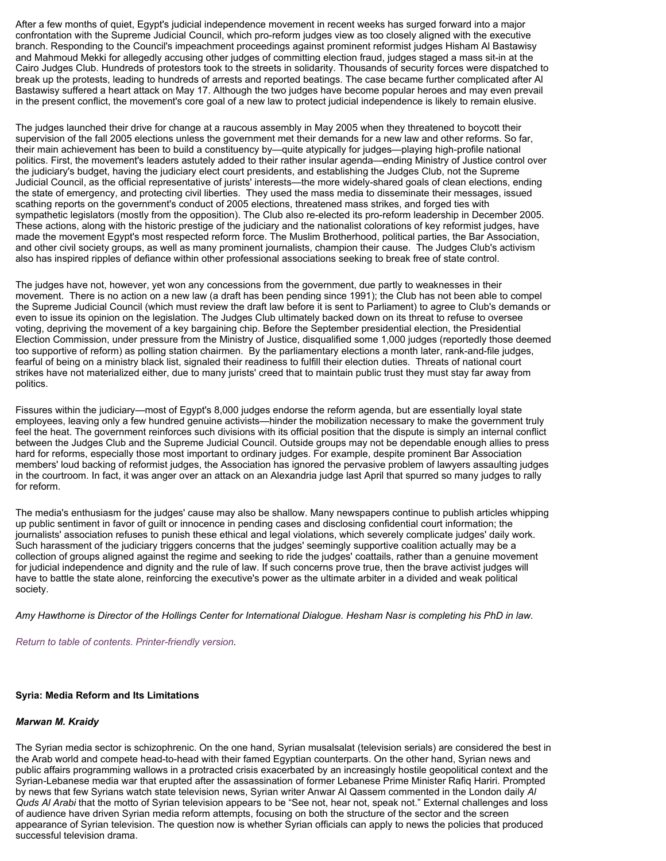After a few months of quiet, Egypt's judicial independence movement in recent weeks has surged forward into a major confrontation with the Supreme Judicial Council, which pro-reform judges view as too closely aligned with the executive branch. Responding to the Council's impeachment proceedings against prominent reformist judges Hisham Al Bastawisy and Mahmoud Mekki for allegedly accusing other judges of committing election fraud, judges staged a mass sit-in at the Cairo Judges Club. Hundreds of protestors took to the streets in solidarity. Thousands of security forces were dispatched to break up the protests, leading to hundreds of arrests and reported beatings. The case became further complicated after Al Bastawisy suffered a heart attack on May 17. Although the two judges have become popular heroes and may even prevail in the present conflict, the movement's core goal of a new law to protect judicial independence is likely to remain elusive.

The judges launched their drive for change at a raucous assembly in May 2005 when they threatened to boycott their supervision of the fall 2005 elections unless the government met their demands for a new law and other reforms. So far, their main achievement has been to build a constituency by—quite atypically for judges—playing high-profile national politics. First, the movement's leaders astutely added to their rather insular agenda—ending Ministry of Justice control over the judiciary's budget, having the judiciary elect court presidents, and establishing the Judges Club, not the Supreme Judicial Council, as the official representative of jurists' interests—the more widely-shared goals of clean elections, ending the state of emergency, and protecting civil liberties. They used the mass media to disseminate their messages, issued scathing reports on the government's conduct of 2005 elections, threatened mass strikes, and forged ties with sympathetic legislators (mostly from the opposition). The Club also re-elected its pro-reform leadership in December 2005. These actions, along with the historic prestige of the judiciary and the nationalist colorations of key reformist judges, have made the movement Egypt's most respected reform force. The Muslim Brotherhood, political parties, the Bar Association, and other civil society groups, as well as many prominent journalists, champion their cause. The Judges Club's activism also has inspired ripples of defiance within other professional associations seeking to break free of state control.

The judges have not, however, yet won any concessions from the government, due partly to weaknesses in their movement. There is no action on a new law (a draft has been pending since 1991); the Club has not been able to compel the Supreme Judicial Council (which must review the draft law before it is sent to Parliament) to agree to Club's demands or even to issue its opinion on the legislation. The Judges Club ultimately backed down on its threat to refuse to oversee voting, depriving the movement of a key bargaining chip. Before the September presidential election, the Presidential Election Commission, under pressure from the Ministry of Justice, disqualified some 1,000 judges (reportedly those deemed too supportive of reform) as polling station chairmen. By the parliamentary elections a month later, rank-and-file judges, fearful of being on a ministry black list, signaled their readiness to fulfill their election duties. Threats of national court strikes have not materialized either, due to many jurists' creed that to maintain public trust they must stay far away from politics.

Fissures within the judiciary—most of Egypt's 8,000 judges endorse the reform agenda, but are essentially loyal state employees, leaving only a few hundred genuine activists—hinder the mobilization necessary to make the government truly feel the heat. The government reinforces such divisions with its official position that the dispute is simply an internal conflict between the Judges Club and the Supreme Judicial Council. Outside groups may not be dependable enough allies to press hard for reforms, especially those most important to ordinary judges. For example, despite prominent Bar Association members' loud backing of reformist judges, the Association has ignored the pervasive problem of lawyers assaulting judges in the courtroom. In fact, it was anger over an attack on an Alexandria judge last April that spurred so many judges to rally for reform.

The media's enthusiasm for the judges' cause may also be shallow. Many newspapers continue to publish articles whipping up public sentiment in favor of guilt or innocence in pending cases and disclosing confidential court information; the journalists' association refuses to punish these ethical and legal violations, which severely complicate judges' daily work. Such harassment of the judiciary triggers concerns that the judges' seemingly supportive coalition actually may be a collection of groups aligned against the regime and seeking to ride the judges' coattails, rather than a genuine movement for judicial independence and dignity and the rule of law. If such concerns prove true, then the brave activist judges will have to battle the state alone, reinforcing the executive's power as the ultimate arbiter in a divided and weak political society.

*Amy Hawthorne is Director of the Hollings Center for International Dialogue. Hesham Nasr is completing his PhD in law.*

*Return to table of contents. Printer-friendly version.*

# **Syria: Media Reform and Its Limitations**

# *Marwan M. Kraidy*

The Syrian media sector is schizophrenic. On the one hand, Syrian musalsalat (television serials) are considered the best in the Arab world and compete head-to-head with their famed Egyptian counterparts. On the other hand, Syrian news and public affairs programming wallows in a protracted crisis exacerbated by an increasingly hostile geopolitical context and the Syrian-Lebanese media war that erupted after the assassination of former Lebanese Prime Minister Rafiq Hariri. Prompted by news that few Syrians watch state television news, Syrian writer Anwar Al Qassem commented in the London daily *Al Quds Al Arabi* that the motto of Syrian television appears to be "See not, hear not, speak not." External challenges and loss of audience have driven Syrian media reform attempts, focusing on both the structure of the sector and the screen appearance of Syrian television. The question now is whether Syrian officials can apply to news the policies that produced successful television drama.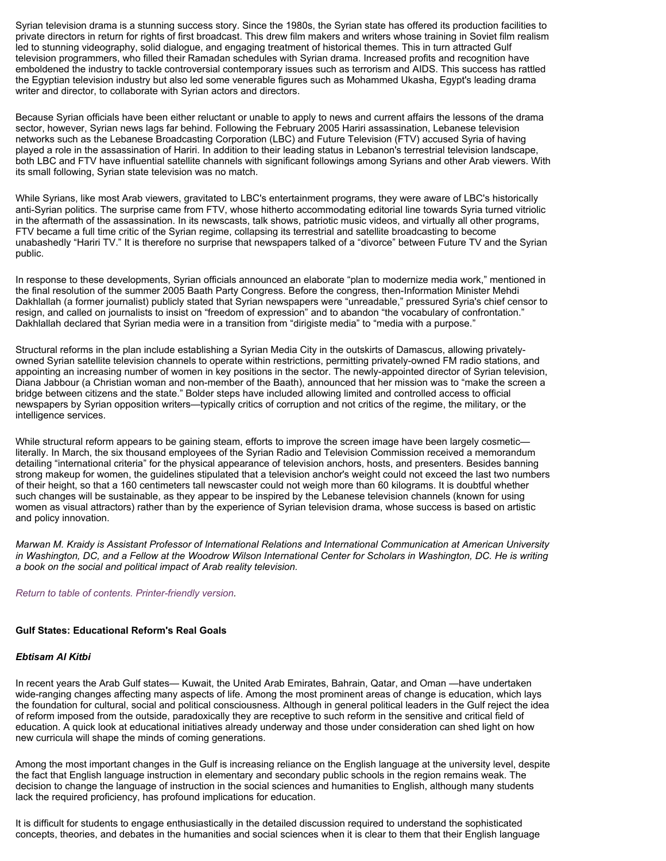Syrian television drama is a stunning success story. Since the 1980s, the Syrian state has offered its production facilities to private directors in return for rights of first broadcast. This drew film makers and writers whose training in Soviet film realism led to stunning videography, solid dialogue, and engaging treatment of historical themes. This in turn attracted Gulf television programmers, who filled their Ramadan schedules with Syrian drama. Increased profits and recognition have emboldened the industry to tackle controversial contemporary issues such as terrorism and AIDS. This success has rattled the Egyptian television industry but also led some venerable figures such as Mohammed Ukasha, Egypt's leading drama writer and director, to collaborate with Syrian actors and directors.

Because Syrian officials have been either reluctant or unable to apply to news and current affairs the lessons of the drama sector, however, Syrian news lags far behind. Following the February 2005 Hariri assassination, Lebanese television networks such as the Lebanese Broadcasting Corporation (LBC) and Future Television (FTV) accused Syria of having played a role in the assassination of Hariri. In addition to their leading status in Lebanon's terrestrial television landscape, both LBC and FTV have influential satellite channels with significant followings among Syrians and other Arab viewers. With its small following, Syrian state television was no match.

While Syrians, like most Arab viewers, gravitated to LBC's entertainment programs, they were aware of LBC's historically anti-Syrian politics. The surprise came from FTV, whose hitherto accommodating editorial line towards Syria turned vitriolic in the aftermath of the assassination. In its newscasts, talk shows, patriotic music videos, and virtually all other programs, FTV became a full time critic of the Syrian regime, collapsing its terrestrial and satellite broadcasting to become unabashedly "Hariri TV." It is therefore no surprise that newspapers talked of a "divorce" between Future TV and the Syrian public.

In response to these developments, Syrian officials announced an elaborate "plan to modernize media work," mentioned in the final resolution of the summer 2005 Baath Party Congress. Before the congress, then-Information Minister Mehdi Dakhlallah (a former journalist) publicly stated that Syrian newspapers were "unreadable," pressured Syria's chief censor to resign, and called on journalists to insist on "freedom of expression" and to abandon "the vocabulary of confrontation." Dakhlallah declared that Syrian media were in a transition from "dirigiste media" to "media with a purpose."

Structural reforms in the plan include establishing a Syrian Media City in the outskirts of Damascus, allowing privatelyowned Syrian satellite television channels to operate within restrictions, permitting privately-owned FM radio stations, and appointing an increasing number of women in key positions in the sector. The newly-appointed director of Syrian television, Diana Jabbour (a Christian woman and non-member of the Baath), announced that her mission was to "make the screen a bridge between citizens and the state." Bolder steps have included allowing limited and controlled access to official newspapers by Syrian opposition writers—typically critics of corruption and not critics of the regime, the military, or the intelligence services.

While structural reform appears to be gaining steam, efforts to improve the screen image have been largely cosmetic literally. In March, the six thousand employees of the Syrian Radio and Television Commission received a memorandum detailing "international criteria" for the physical appearance of television anchors, hosts, and presenters. Besides banning strong makeup for women, the guidelines stipulated that a television anchor's weight could not exceed the last two numbers of their height, so that a 160 centimeters tall newscaster could not weigh more than 60 kilograms. It is doubtful whether such changes will be sustainable, as they appear to be inspired by the Lebanese television channels (known for using women as visual attractors) rather than by the experience of Syrian television drama, whose success is based on artistic and policy innovation.

*Marwan M. Kraidy is Assistant Professor of International Relations and International Communication at American University in Washington, DC, and a Fellow at the Woodrow Wilson International Center for Scholars in Washington, DC. He is writing a book on the social and political impact of Arab reality television.*

*Return to table of contents. Printer-friendly version.* 

# **Gulf States: Educational Reform's Real Goals**

#### *Ebtisam Al Kitbi*

In recent years the Arab Gulf states— Kuwait, the United Arab Emirates, Bahrain, Qatar, and Oman —have undertaken wide-ranging changes affecting many aspects of life. Among the most prominent areas of change is education, which lays the foundation for cultural, social and political consciousness. Although in general political leaders in the Gulf reject the idea of reform imposed from the outside, paradoxically they are receptive to such reform in the sensitive and critical field of education. A quick look at educational initiatives already underway and those under consideration can shed light on how new curricula will shape the minds of coming generations.

Among the most important changes in the Gulf is increasing reliance on the English language at the university level, despite the fact that English language instruction in elementary and secondary public schools in the region remains weak. The decision to change the language of instruction in the social sciences and humanities to English, although many students lack the required proficiency, has profound implications for education.

It is difficult for students to engage enthusiastically in the detailed discussion required to understand the sophisticated concepts, theories, and debates in the humanities and social sciences when it is clear to them that their English language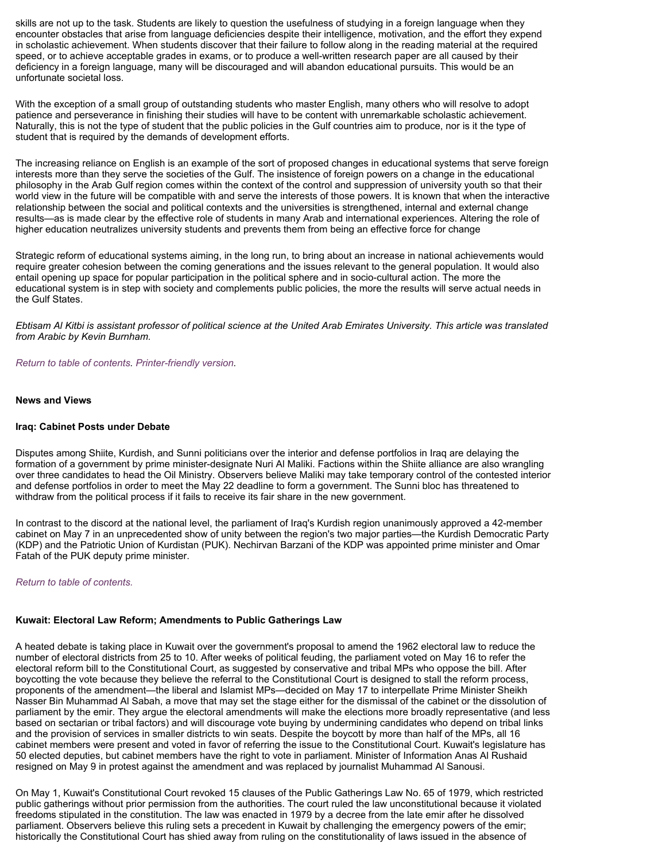skills are not up to the task. Students are likely to question the usefulness of studying in a foreign language when they encounter obstacles that arise from language deficiencies despite their intelligence, motivation, and the effort they expend in scholastic achievement. When students discover that their failure to follow along in the reading material at the required speed, or to achieve acceptable grades in exams, or to produce a well-written research paper are all caused by their deficiency in a foreign language, many will be discouraged and will abandon educational pursuits. This would be an unfortunate societal loss.

With the exception of a small group of outstanding students who master English, many others who will resolve to adopt patience and perseverance in finishing their studies will have to be content with unremarkable scholastic achievement. Naturally, this is not the type of student that the public policies in the Gulf countries aim to produce, nor is it the type of student that is required by the demands of development efforts.

The increasing reliance on English is an example of the sort of proposed changes in educational systems that serve foreign interests more than they serve the societies of the Gulf. The insistence of foreign powers on a change in the educational philosophy in the Arab Gulf region comes within the context of the control and suppression of university youth so that their world view in the future will be compatible with and serve the interests of those powers. It is known that when the interactive relationship between the social and political contexts and the universities is strengthened, internal and external change results—as is made clear by the effective role of students in many Arab and international experiences. Altering the role of higher education neutralizes university students and prevents them from being an effective force for change

Strategic reform of educational systems aiming, in the long run, to bring about an increase in national achievements would require greater cohesion between the coming generations and the issues relevant to the general population. It would also entail opening up space for popular participation in the political sphere and in socio-cultural action. The more the educational system is in step with society and complements public policies, the more the results will serve actual needs in the Gulf States.

*Ebtisam Al Kitbi is assistant professor of political science at the United Arab Emirates University. This article was translated from Arabic by Kevin Burnham.* 

*Return to table of contents. Printer-friendly version.* 

#### **News and Views**

#### **Iraq: Cabinet Posts under Debate**

Disputes among Shiite, Kurdish, and Sunni politicians over the interior and defense portfolios in Iraq are delaying the formation of a government by prime minister-designate Nuri Al Maliki. Factions within the Shiite alliance are also wrangling over three candidates to head the Oil Ministry. Observers believe Maliki may take temporary control of the contested interior and defense portfolios in order to meet the May 22 deadline to form a government. The Sunni bloc has threatened to withdraw from the political process if it fails to receive its fair share in the new government.

In contrast to the discord at the national level, the parliament of Iraq's Kurdish region unanimously approved a 42-member cabinet on May 7 in an unprecedented show of unity between the region's two major parties—the Kurdish Democratic Party (KDP) and the Patriotic Union of Kurdistan (PUK). Nechirvan Barzani of the KDP was appointed prime minister and Omar Fatah of the PUK deputy prime minister.

#### *Return to table of contents.*

#### **Kuwait: Electoral Law Reform; Amendments to Public Gatherings Law**

A heated debate is taking place in Kuwait over the government's proposal to amend the 1962 electoral law to reduce the number of electoral districts from 25 to 10. After weeks of political feuding, the parliament voted on May 16 to refer the electoral reform bill to the Constitutional Court, as suggested by conservative and tribal MPs who oppose the bill. After boycotting the vote because they believe the referral to the Constitutional Court is designed to stall the reform process, proponents of the amendment—the liberal and Islamist MPs—decided on May 17 to interpellate Prime Minister Sheikh Nasser Bin Muhammad Al Sabah, a move that may set the stage either for the dismissal of the cabinet or the dissolution of parliament by the emir. They argue the electoral amendments will make the elections more broadly representative (and less based on sectarian or tribal factors) and will discourage vote buying by undermining candidates who depend on tribal links and the provision of services in smaller districts to win seats. Despite the boycott by more than half of the MPs, all 16 cabinet members were present and voted in favor of referring the issue to the Constitutional Court. Kuwait's legislature has 50 elected deputies, but cabinet members have the right to vote in parliament. Minister of Information Anas Al Rushaid resigned on May 9 in protest against the amendment and was replaced by journalist Muhammad Al Sanousi.

On May 1, Kuwait's Constitutional Court revoked 15 clauses of the Public Gatherings Law No. 65 of 1979, which restricted public gatherings without prior permission from the authorities. The court ruled the law unconstitutional because it violated freedoms stipulated in the constitution. The law was enacted in 1979 by a decree from the late emir after he dissolved parliament. Observers believe this ruling sets a precedent in Kuwait by challenging the emergency powers of the emir; historically the Constitutional Court has shied away from ruling on the constitutionality of laws issued in the absence of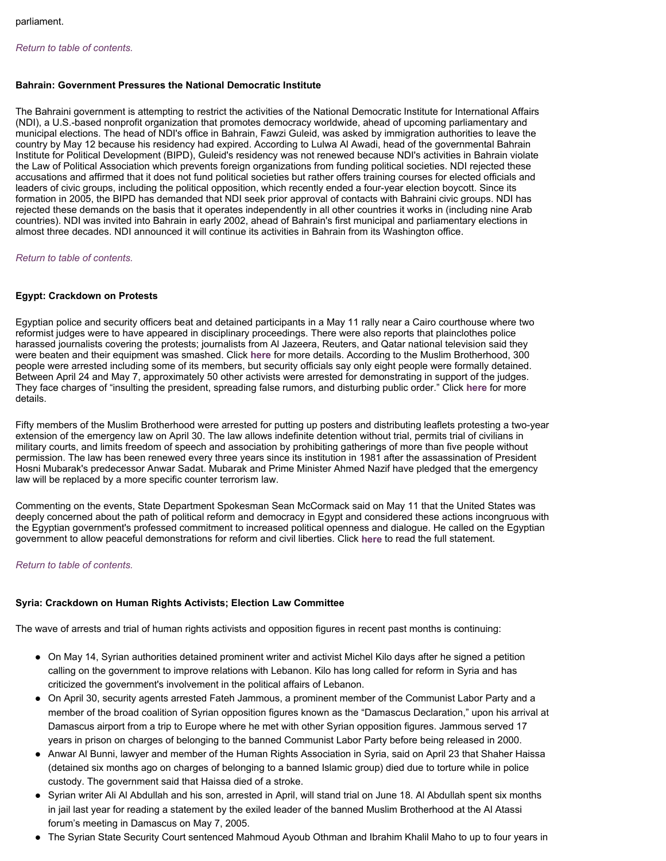# *Return to table of contents.*

# **Bahrain: Government Pressures the National Democratic Institute**

The Bahraini government is attempting to restrict the activities of the National Democratic Institute for International Affairs (NDI), a U.S.-based nonprofit organization that promotes democracy worldwide, ahead of upcoming parliamentary and municipal elections. The head of NDI's office in Bahrain, Fawzi Guleid, was asked by immigration authorities to leave the country by May 12 because his residency had expired. According to Lulwa Al Awadi, head of the governmental Bahrain Institute for Political Development (BIPD), Guleid's residency was not renewed because NDI's activities in Bahrain violate the Law of Political Association which prevents foreign organizations from funding political societies. NDI rejected these accusations and affirmed that it does not fund political societies but rather offers training courses for elected officials and leaders of civic groups, including the political opposition, which recently ended a four-year election boycott. Since its formation in 2005, the BIPD has demanded that NDI seek prior approval of contacts with Bahraini civic groups. NDI has rejected these demands on the basis that it operates independently in all other countries it works in (including nine Arab countries). NDI was invited into Bahrain in early 2002, ahead of Bahrain's first municipal and parliamentary elections in almost three decades. NDI announced it will continue its activities in Bahrain from its Washington office.

# *Return to table of contents.*

# **Egypt: Crackdown on Protests**

Egyptian police and security officers beat and detained participants in a May 11 rally near a Cairo courthouse where two reformist judges were to have appeared in disciplinary proceedings. There were also reports that plainclothes police harassed journalists covering the protests; journalists from Al Jazeera, Reuters, and Qatar national television said they were beaten and their equipment was smashed. Click **here** for more details. According to the Muslim Brotherhood, 300 people were arrested including some of its members, but security officials say only eight people were formally detained. Between April 24 and May 7, approximately 50 other activists were arrested for demonstrating in support of the judges. They face charges of "insulting the president, spreading false rumors, and disturbing public order." Click **here** for more details.

Fifty members of the Muslim Brotherhood were arrested for putting up posters and distributing leaflets protesting a two-year extension of the emergency law on April 30. The law allows indefinite detention without trial, permits trial of civilians in military courts, and limits freedom of speech and association by prohibiting gatherings of more than five people without permission. The law has been renewed every three years since its institution in 1981 after the assassination of President Hosni Mubarak's predecessor Anwar Sadat. Mubarak and Prime Minister Ahmed Nazif have pledged that the emergency law will be replaced by a more specific counter terrorism law.

Commenting on the events, State Department Spokesman Sean McCormack said on May 11 that the United States was deeply concerned about the path of political reform and democracy in Egypt and considered these actions incongruous with the Egyptian government's professed commitment to increased political openness and dialogue. He called on the Egyptian government to allow peaceful demonstrations for reform and civil liberties. Click **here** to read the full statement.

# *Return to table of contents.*

# **Syria: Crackdown on Human Rights Activists; Election Law Committee**

The wave of arrests and trial of human rights activists and opposition figures in recent past months is continuing:

- On May 14, Syrian authorities detained prominent writer and activist Michel Kilo days after he signed a petition calling on the government to improve relations with Lebanon. Kilo has long called for reform in Syria and has criticized the government's involvement in the political affairs of Lebanon.
- On April 30, security agents arrested Fateh Jammous, a prominent member of the Communist Labor Party and a member of the broad coalition of Syrian opposition figures known as the "Damascus Declaration," upon his arrival at Damascus airport from a trip to Europe where he met with other Syrian opposition figures. Jammous served 17 years in prison on charges of belonging to the banned Communist Labor Party before being released in 2000.
- Anwar Al Bunni, lawyer and member of the Human Rights Association in Syria, said on April 23 that Shaher Haissa (detained six months ago on charges of belonging to a banned Islamic group) died due to torture while in police custody. The government said that Haissa died of a stroke.
- Syrian writer Ali Al Abdullah and his son, arrested in April, will stand trial on June 18. Al Abdullah spent six months in jail last year for reading a statement by the exiled leader of the banned Muslim Brotherhood at the Al Atassi forum's meeting in Damascus on May 7, 2005.
- The Syrian State Security Court sentenced Mahmoud Ayoub Othman and Ibrahim Khalil Maho to up to four years in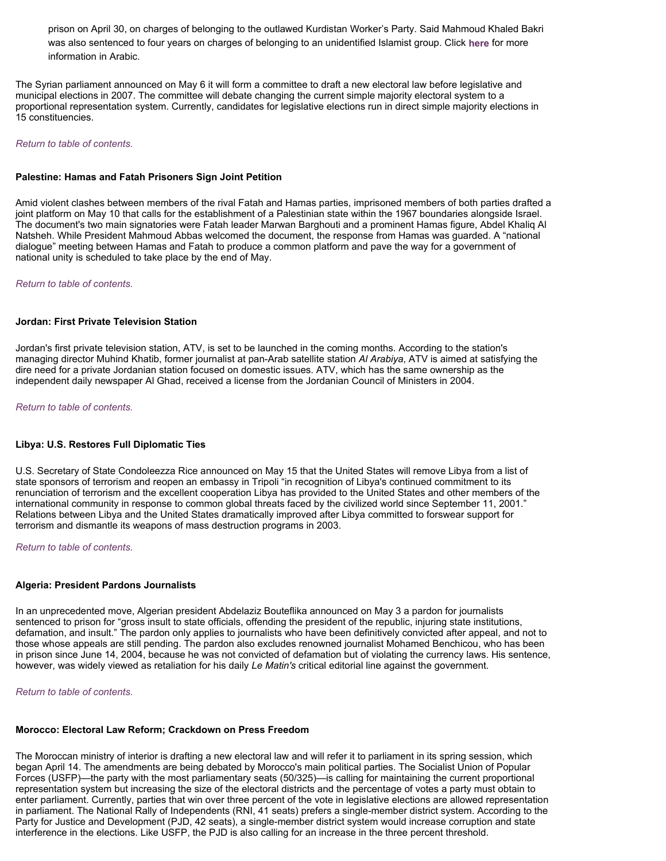prison on April 30, on charges of belonging to the outlawed Kurdistan Worker's Party. Said Mahmoud Khaled Bakri was also sentenced to four years on charges of belonging to an unidentified Islamist group. Click **here** for more information in Arabic.

The Syrian parliament announced on May 6 it will form a committee to draft a new electoral law before legislative and municipal elections in 2007. The committee will debate changing the current simple majority electoral system to a proportional representation system. Currently, candidates for legislative elections run in direct simple majority elections in 15 constituencies.

## *Return to table of contents.*

## **Palestine: Hamas and Fatah Prisoners Sign Joint Petition**

Amid violent clashes between members of the rival Fatah and Hamas parties, imprisoned members of both parties drafted a joint platform on May 10 that calls for the establishment of a Palestinian state within the 1967 boundaries alongside Israel. The document's two main signatories were Fatah leader Marwan Barghouti and a prominent Hamas figure, Abdel Khaliq Al Natsheh. While President Mahmoud Abbas welcomed the document, the response from Hamas was guarded. A "national dialogue" meeting between Hamas and Fatah to produce a common platform and pave the way for a government of national unity is scheduled to take place by the end of May.

#### *Return to table of contents.*

#### **Jordan: First Private Television Station**

Jordan's first private television station, ATV, is set to be launched in the coming months. According to the station's managing director Muhind Khatib, former journalist at pan-Arab satellite station *Al Arabiya*, ATV is aimed at satisfying the dire need for a private Jordanian station focused on domestic issues. ATV, which has the same ownership as the independent daily newspaper Al Ghad, received a license from the Jordanian Council of Ministers in 2004.

*Return to table of contents.* 

# **Libya: U.S. Restores Full Diplomatic Ties**

U.S. Secretary of State Condoleezza Rice announced on May 15 that the United States will remove Libya from a list of state sponsors of terrorism and reopen an embassy in Tripoli "in recognition of Libya's continued commitment to its renunciation of terrorism and the excellent cooperation Libya has provided to the United States and other members of the international community in response to common global threats faced by the civilized world since September 11, 2001." Relations between Libya and the United States dramatically improved after Libya committed to forswear support for terrorism and dismantle its weapons of mass destruction programs in 2003.

*Return to table of contents.* 

# **Algeria: President Pardons Journalists**

In an unprecedented move, Algerian president Abdelaziz Bouteflika announced on May 3 a pardon for journalists sentenced to prison for "gross insult to state officials, offending the president of the republic, injuring state institutions, defamation, and insult." The pardon only applies to journalists who have been definitively convicted after appeal, and not to those whose appeals are still pending. The pardon also excludes renowned journalist Mohamed Benchicou, who has been in prison since June 14, 2004, because he was not convicted of defamation but of violating the currency laws. His sentence, however, was widely viewed as retaliation for his daily *Le Matin's* critical editorial line against the government.

*Return to table of contents.* 

# **Morocco: Electoral Law Reform; Crackdown on Press Freedom**

The Moroccan ministry of interior is drafting a new electoral law and will refer it to parliament in its spring session, which began April 14. The amendments are being debated by Morocco's main political parties. The Socialist Union of Popular Forces (USFP)—the party with the most parliamentary seats (50/325)—is calling for maintaining the current proportional representation system but increasing the size of the electoral districts and the percentage of votes a party must obtain to enter parliament. Currently, parties that win over three percent of the vote in legislative elections are allowed representation in parliament. The National Rally of Independents (RNI, 41 seats) prefers a single-member district system. According to the Party for Justice and Development (PJD, 42 seats), a single-member district system would increase corruption and state interference in the elections. Like USFP, the PJD is also calling for an increase in the three percent threshold.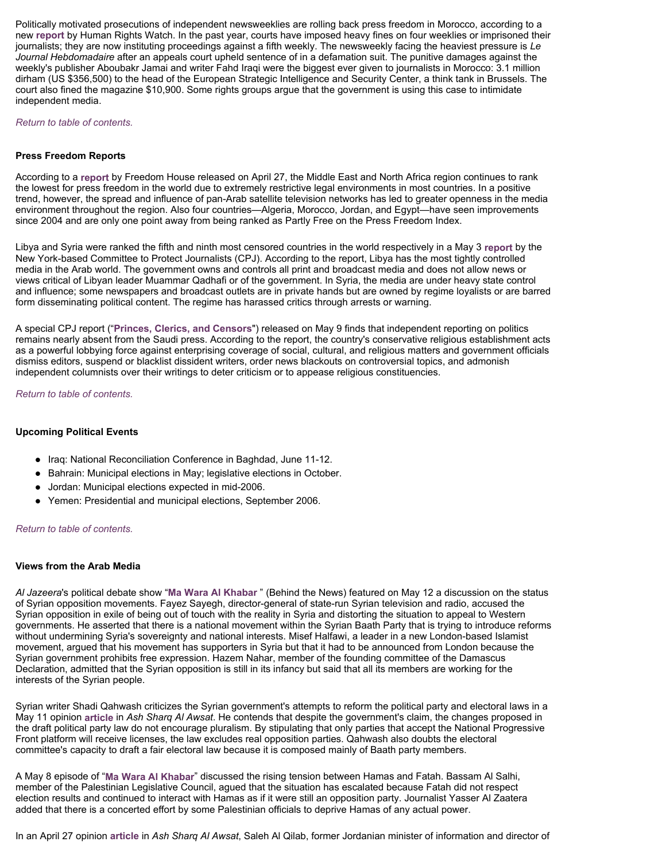Politically motivated prosecutions of independent newsweeklies are rolling back press freedom in Morocco, according to a new **report** by Human Rights Watch. In the past year, courts have imposed heavy fines on four weeklies or imprisoned their journalists; they are now instituting proceedings against a fifth weekly. The newsweekly facing the heaviest pressure is *Le Journal Hebdomadaire* after an appeals court upheld sentence of in a defamation suit. The punitive damages against the weekly's publisher Aboubakr Jamai and writer Fahd Iraqi were the biggest ever given to journalists in Morocco: 3.1 million dirham (US \$356,500) to the head of the European Strategic Intelligence and Security Center, a think tank in Brussels. The court also fined the magazine \$10,900. Some rights groups argue that the government is using this case to intimidate independent media.

*Return to table of contents.* 

## **Press Freedom Reports**

According to a **report** by Freedom House released on April 27, the Middle East and North Africa region continues to rank the lowest for press freedom in the world due to extremely restrictive legal environments in most countries. In a positive trend, however, the spread and influence of pan-Arab satellite television networks has led to greater openness in the media environment throughout the region. Also four countries—Algeria, Morocco, Jordan, and Egypt—have seen improvements since 2004 and are only one point away from being ranked as Partly Free on the Press Freedom Index.

Libya and Syria were ranked the fifth and ninth most censored countries in the world respectively in a May 3 **report** by the New York-based Committee to Protect Journalists (CPJ). According to the report, Libya has the most tightly controlled media in the Arab world. The government owns and controls all print and broadcast media and does not allow news or views critical of Libyan leader Muammar Qadhafi or of the government. In Syria, the media are under heavy state control and influence; some newspapers and broadcast outlets are in private hands but are owned by regime loyalists or are barred form disseminating political content. The regime has harassed critics through arrests or warning.

A special CPJ report ("**Princes, Clerics, and Censors**") released on May 9 finds that independent reporting on politics remains nearly absent from the Saudi press. According to the report, the country's conservative religious establishment acts as a powerful lobbying force against enterprising coverage of social, cultural, and religious matters and government officials dismiss editors, suspend or blacklist dissident writers, order news blackouts on controversial topics, and admonish independent columnists over their writings to deter criticism or to appease religious constituencies.

*Return to table of contents.* 

#### **Upcoming Political Events**

- Iraq: National Reconciliation Conference in Baghdad, June 11-12.
- Bahrain: Municipal elections in May; legislative elections in October.
- Jordan: Municipal elections expected in mid-2006.
- Yemen: Presidential and municipal elections, September 2006.

#### *Return to table of contents.*

#### **Views from the Arab Media**

*Al Jazeera*'s political debate show "**Ma Wara Al Khabar** " (Behind the News) featured on May 12 a discussion on the status of Syrian opposition movements. Fayez Sayegh, director-general of state-run Syrian television and radio, accused the Syrian opposition in exile of being out of touch with the reality in Syria and distorting the situation to appeal to Western governments. He asserted that there is a national movement within the Syrian Baath Party that is trying to introduce reforms without undermining Syria's sovereignty and national interests. Misef Halfawi, a leader in a new London-based Islamist movement, argued that his movement has supporters in Syria but that it had to be announced from London because the Syrian government prohibits free expression. Hazem Nahar, member of the founding committee of the Damascus Declaration, admitted that the Syrian opposition is still in its infancy but said that all its members are working for the interests of the Syrian people.

Syrian writer Shadi Qahwash criticizes the Syrian government's attempts to reform the political party and electoral laws in a May 11 opinion **article** in *Ash Sharq Al Awsat*. He contends that despite the government's claim, the changes proposed in the draft political party law do not encourage pluralism. By stipulating that only parties that accept the National Progressive Front platform will receive licenses, the law excludes real opposition parties. Qahwash also doubts the electoral committee's capacity to draft a fair electoral law because it is composed mainly of Baath party members.

A May 8 episode of "**Ma Wara Al Khabar**" discussed the rising tension between Hamas and Fatah. Bassam Al Salhi, member of the Palestinian Legislative Council, agued that the situation has escalated because Fatah did not respect election results and continued to interact with Hamas as if it were still an opposition party. Journalist Yasser Al Zaatera added that there is a concerted effort by some Palestinian officials to deprive Hamas of any actual power.

In an April 27 opinion **article** in *Ash Sharq Al Awsat*, Saleh Al Qilab, former Jordanian minister of information and director of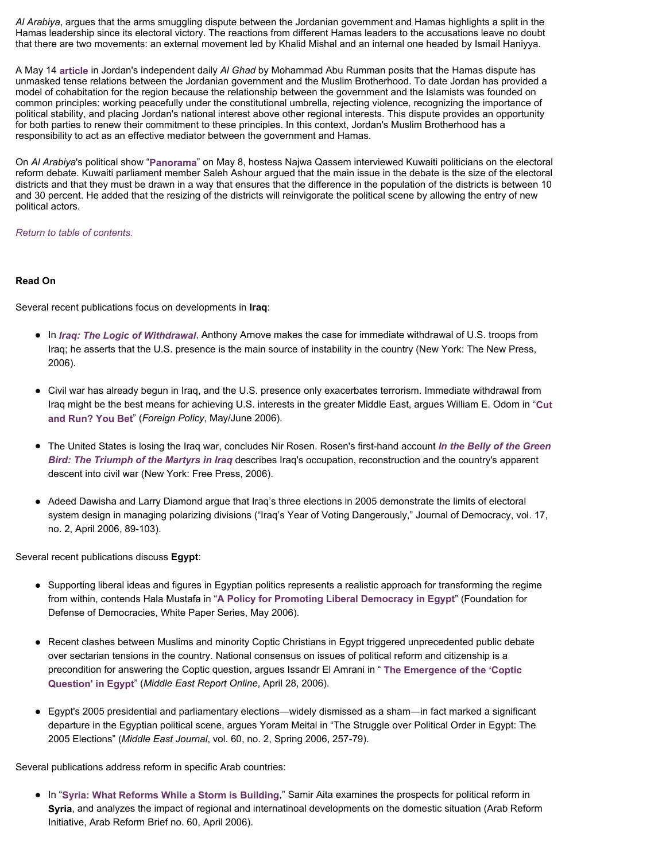*Al Arabiya*, argues that the arms smuggling dispute between the Jordanian government and Hamas highlights a split in the Hamas leadership since its electoral victory. The reactions from different Hamas leaders to the accusations leave no doubt that there are two movements: an external movement led by Khalid Mishal and an internal one headed by Ismail Haniyya.

A May 14 **article** in Jordan's independent daily *Al Ghad* by Mohammad Abu Rumman posits that the Hamas dispute has unmasked tense relations between the Jordanian government and the Muslim Brotherhood. To date Jordan has provided a model of cohabitation for the region because the relationship between the government and the Islamists was founded on common principles: working peacefully under the constitutional umbrella, rejecting violence, recognizing the importance of political stability, and placing Jordan's national interest above other regional interests. This dispute provides an opportunity for both parties to renew their commitment to these principles. In this context, Jordan's Muslim Brotherhood has a responsibility to act as an effective mediator between the government and Hamas.

On *Al Arabiya*'s political show "**Panorama**" on May 8, hostess Najwa Qassem interviewed Kuwaiti politicians on the electoral reform debate. Kuwaiti parliament member Saleh Ashour argued that the main issue in the debate is the size of the electoral districts and that they must be drawn in a way that ensures that the difference in the population of the districts is between 10 and 30 percent. He added that the resizing of the districts will reinvigorate the political scene by allowing the entry of new political actors.

*Return to table of contents.* 

# **Read On**

Several recent publications focus on developments in **Iraq**:

- In *Iraq: The Logic of Withdrawal*, Anthony Arnove makes the case for immediate withdrawal of U.S. troops from Iraq; he asserts that the U.S. presence is the main source of instability in the country (New York: The New Press, 2006).
- Civil war has already begun in Iraq, and the U.S. presence only exacerbates terrorism. Immediate withdrawal from Iraq might be the best means for achieving U.S. interests in the greater Middle East, argues William E. Odom in "**Cut and Run? You Bet**" (*Foreign Policy*, May/June 2006).
- The United States is losing the Iraq war, concludes Nir Rosen. Rosen's first-hand account *In the Belly of the Green Bird: The Triumph of the Martyrs in Iraq* describes Iraq's occupation, reconstruction and the country's apparent descent into civil war (New York: Free Press, 2006).
- Adeed Dawisha and Larry Diamond argue that Iraq's three elections in 2005 demonstrate the limits of electoral system design in managing polarizing divisions ("Iraq's Year of Voting Dangerously," Journal of Democracy, vol. 17, no. 2, April 2006, 89-103).

Several recent publications discuss **Egypt**:

- Supporting liberal ideas and figures in Egyptian politics represents a realistic approach for transforming the regime from within, contends Hala Mustafa in "**A Policy for Promoting Liberal Democracy in Egypt**" (Foundation for Defense of Democracies, White Paper Series, May 2006).
- Recent clashes between Muslims and minority Coptic Christians in Egypt triggered unprecedented public debate over sectarian tensions in the country. National consensus on issues of political reform and citizenship is a precondition for answering the Coptic question, argues Issandr El Amrani in " **The Emergence of the 'Coptic Question' in Egypt**" (*Middle East Report Online*, April 28, 2006).
- Egypt's 2005 presidential and parliamentary elections—widely dismissed as a sham—in fact marked a significant departure in the Egyptian political scene, argues Yoram Meital in "The Struggle over Political Order in Egypt: The 2005 Elections" (*Middle East Journal*, vol. 60, no. 2, Spring 2006, 257-79).

Several publications address reform in specific Arab countries:

z In "**Syria: What Reforms While a Storm is Building**," Samir Aita examines the prospects for political reform in **Syria**, and analyzes the impact of regional and internatinoal developments on the domestic situation (Arab Reform Initiative, Arab Reform Brief no. 60, April 2006).